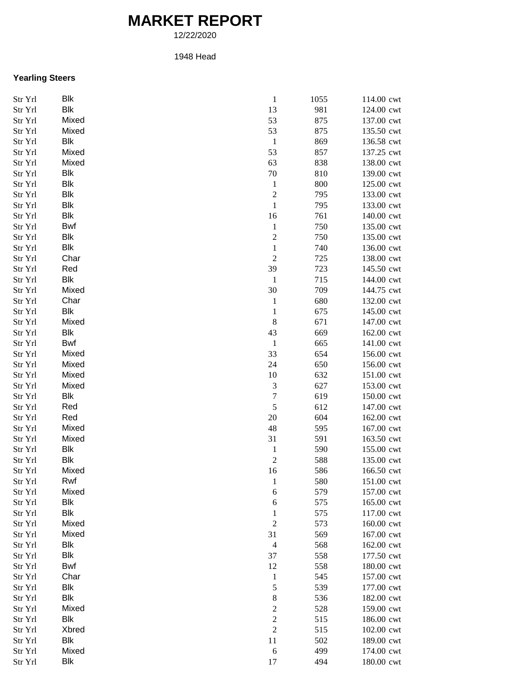## **MARKET REPORT**

12/22/2020

## 1948 Head

## **Yearling Steers**

| Str Yrl | <b>Blk</b>   | $\mathbf{1}$                   | 1055 | 114.00 cwt               |
|---------|--------------|--------------------------------|------|--------------------------|
| Str Yrl | <b>Blk</b>   | 13                             | 981  | 124.00 cwt               |
| Str Yrl | Mixed        | 53                             | 875  | 137.00 cwt               |
| Str Yrl | Mixed        | 53                             | 875  | 135.50 cwt               |
| Str Yrl | Blk          | $\mathbf{1}$                   | 869  | 136.58 cwt               |
| Str Yrl | Mixed        | 53                             | 857  | 137.25 cwt               |
| Str Yrl | Mixed        | 63                             | 838  | 138.00 cwt               |
| Str Yrl | <b>Blk</b>   | 70                             | 810  | 139.00 cwt               |
| Str Yrl | <b>Blk</b>   | $\mathbf{1}$                   | 800  | 125.00 cwt               |
| Str Yrl | <b>Blk</b>   | $\overline{c}$                 | 795  | 133.00 cwt               |
| Str Yrl | <b>Blk</b>   | $\,1$                          | 795  | 133.00 cwt               |
| Str Yrl | <b>Blk</b>   | 16                             | 761  | 140.00 cwt               |
| Str Yrl | Bwf          | $\mathbf{1}$                   | 750  | 135.00 cwt               |
| Str Yrl | <b>Blk</b>   | $\overline{\mathbf{c}}$        | 750  | 135.00 cwt               |
| Str Yrl | Blk          | $\,1$                          | 740  | 136.00 cwt               |
| Str Yrl | Char         | $\overline{c}$                 | 725  | 138.00 cwt               |
| Str Yrl | Red          | 39                             | 723  | 145.50 cwt               |
| Str Yrl | <b>Blk</b>   | $\mathbf 1$                    | 715  | 144.00 cwt               |
| Str Yrl | Mixed        | 30                             | 709  | 144.75 cwt               |
| Str Yrl | Char         | $\mathbf{1}$                   | 680  | 132.00 cwt               |
| Str Yrl | <b>Blk</b>   | $\,1$                          | 675  | 145.00 cwt               |
| Str Yrl | Mixed        | $\,8\,$                        | 671  | 147.00 cwt               |
| Str Yrl | <b>Blk</b>   | 43                             | 669  | 162.00 cwt               |
| Str Yrl | Bwf          | $\mathbf{1}$                   | 665  | 141.00 cwt               |
| Str Yrl | Mixed        | 33                             | 654  | 156.00 cwt               |
| Str Yrl | Mixed        | 24                             | 650  | 156.00 cwt               |
| Str Yrl | Mixed        | 10                             | 632  | 151.00 cwt               |
| Str Yrl | Mixed        | $\sqrt{3}$                     | 627  | 153.00 cwt               |
| Str Yrl | Blk          | $\overline{7}$                 | 619  | 150.00 cwt               |
| Str Yrl | Red          | $\sqrt{5}$                     | 612  | 147.00 cwt               |
| Str Yrl | Red          | $20\,$                         | 604  | 162.00 cwt               |
| Str Yrl | Mixed        | 48                             | 595  | 167.00 cwt               |
| Str Yrl | Mixed        | 31                             | 591  | 163.50 cwt               |
|         | <b>Blk</b>   |                                | 590  | 155.00 cwt               |
| Str Yrl | <b>Blk</b>   | $\mathbf{1}$<br>$\overline{c}$ | 588  |                          |
| Str Yrl | Mixed        | 16                             |      | 135.00 cwt<br>166.50 cwt |
| Str Yrl |              |                                | 586  |                          |
| Str Yrl | Rwf          | 1                              | 580  | 151.00 cwt               |
| Str Yrl | Mixed<br>Blk | 6                              | 579  | 157.00 cwt               |
| Str Yrl | <b>Blk</b>   | 6                              | 575  | 165.00 cwt               |
| Str Yrl |              | $\mathbf{1}$                   | 575  | 117.00 cwt               |
| Str Yrl | Mixed        | $\boldsymbol{2}$               | 573  | 160.00 cwt               |
| Str Yrl | Mixed        | 31                             | 569  | 167.00 cwt               |
| Str Yrl | <b>Blk</b>   | $\overline{4}$                 | 568  | 162.00 cwt               |
| Str Yrl | <b>Blk</b>   | 37                             | 558  | 177.50 cwt               |
| Str Yrl | Bwf          | 12                             | 558  | 180.00 cwt               |
| Str Yrl | Char         | $\mathbf{1}$                   | 545  | 157.00 cwt               |
| Str Yrl | Blk          | 5                              | 539  | 177.00 cwt               |
| Str Yrl | <b>Blk</b>   | 8                              | 536  | 182.00 cwt               |
| Str Yrl | Mixed        | $\overline{c}$                 | 528  | 159.00 cwt               |
| Str Yrl | <b>Blk</b>   | $\overline{c}$                 | 515  | 186.00 cwt               |
| Str Yrl | Xbred        | $\overline{c}$                 | 515  | 102.00 cwt               |
| Str Yrl | <b>Blk</b>   | $11\,$                         | 502  | 189.00 cwt               |
| Str Yrl | Mixed        | $\sqrt{6}$                     | 499  | 174.00 cwt               |
| Str Yrl | Blk          | 17                             | 494  | 180.00 cwt               |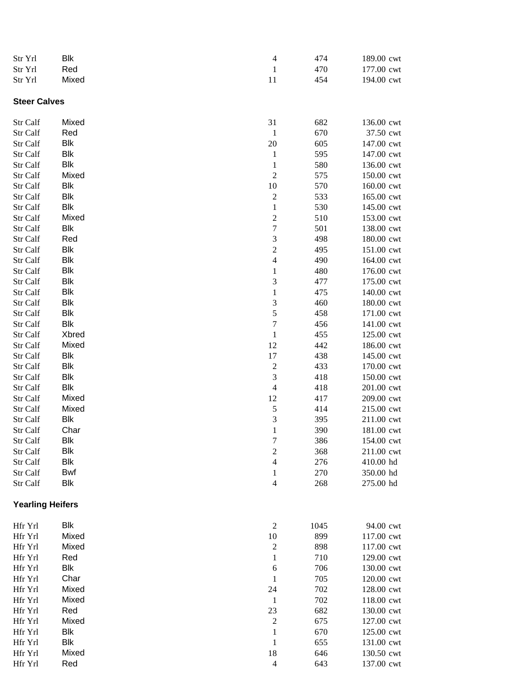| Str Yrl                 | Blk        | $\overline{\mathcal{L}}$ | 474  | 189.00 cwt |
|-------------------------|------------|--------------------------|------|------------|
| Str Yrl                 | Red        | $\mathbf{1}$             | 470  | 177.00 cwt |
| Str Yrl                 | Mixed      | 11                       | 454  | 194.00 cwt |
|                         |            |                          |      |            |
| <b>Steer Calves</b>     |            |                          |      |            |
| Str Calf                | Mixed      | 31                       | 682  | 136.00 cwt |
| Str Calf                | Red        | $\mathbf{1}$             | 670  | 37.50 cwt  |
| Str Calf                | Blk        | 20                       | 605  | 147.00 cwt |
| Str Calf                | Blk        | $\mathbf 1$              | 595  | 147.00 cwt |
| Str Calf                | Blk        | $\,1$                    | 580  | 136.00 cwt |
| Str Calf                | Mixed      | $\sqrt{2}$               | 575  | 150.00 cwt |
| Str Calf                | Blk        | 10                       | 570  | 160.00 cwt |
| Str Calf                | Blk        | $\overline{c}$           | 533  | 165.00 cwt |
| Str Calf                | Blk        | $\mathbf{1}$             | 530  | 145.00 cwt |
| Str Calf                | Mixed      | $\overline{\mathbf{c}}$  | 510  | 153.00 cwt |
| Str Calf                | Blk        | $\overline{7}$           | 501  | 138.00 cwt |
| Str Calf                | Red        | 3                        | 498  | 180.00 cwt |
| Str Calf                | Blk        | $\overline{c}$           | 495  | 151.00 cwt |
| Str Calf                | Blk        | $\overline{\mathcal{L}}$ | 490  | 164.00 cwt |
| Str Calf                | Blk        | $\mathbf{1}$             | 480  | 176.00 cwt |
| Str Calf                | Blk        | 3                        | 477  | 175.00 cwt |
| Str Calf                | <b>Blk</b> | $\,1$                    | 475  | 140.00 cwt |
| Str Calf                | Blk        | 3                        | 460  | 180.00 cwt |
| Str Calf                | Blk        | 5                        | 458  | 171.00 cwt |
| Str Calf                | <b>Blk</b> | $\sqrt{ }$               | 456  | 141.00 cwt |
| Str Calf                | Xbred      | $\,1$                    | 455  | 125.00 cwt |
| Str Calf                | Mixed      | 12                       | 442  | 186.00 cwt |
| Str Calf                | Blk        | 17                       | 438  | 145.00 cwt |
| Str Calf                | <b>Blk</b> | $\overline{c}$           | 433  | 170.00 cwt |
| Str Calf                | Blk        | 3                        | 418  | 150.00 cwt |
| Str Calf                | <b>Blk</b> | $\overline{4}$           | 418  | 201.00 cwt |
| Str Calf                | Mixed      | 12                       | 417  | 209.00 cwt |
| Str Calf                | Mixed      | 5                        | 414  | 215.00 cwt |
| Str Calf                | Blk        | 3                        | 395  | 211.00 cwt |
| Str Calf                | Char       | $\,1$                    | 390  | 181.00 cwt |
| Str Calf                | Blk        | 7                        | 386  | 154.00 cwt |
| Str Calf                | Blk        | $\overline{c}$           | 368  | 211.00 cwt |
| Str Calf                | Blk        | $\overline{4}$           | 276  | 410.00 hd  |
| Str Calf                | Bwf        | 1                        | 270  | 350.00 hd  |
| Str Calf                | Blk        | $\overline{4}$           | 268  | 275.00 hd  |
| <b>Yearling Heifers</b> |            |                          |      |            |
|                         |            |                          |      |            |
| Hfr Yrl                 | Blk        | $\mathfrak{2}$           | 1045 | 94.00 cwt  |
| Hfr Yrl                 | Mixed      | $10\,$                   | 899  | 117.00 cwt |
| Hfr Yrl                 | Mixed      | $\boldsymbol{2}$         | 898  | 117.00 cwt |
| Hfr Yrl                 | Red        | $\mathbf{1}$             | 710  | 129.00 cwt |
| Hfr Yrl                 | Blk        | 6                        | 706  | 130.00 cwt |
| Hfr Yrl                 | Char       | $\mathbf{1}$             | 705  | 120.00 cwt |
| Hfr Yrl                 | Mixed      | 24                       | 702  | 128.00 cwt |
| Hfr Yrl                 | Mixed      | $\mathbf{1}$             | 702  | 118.00 cwt |
| Hfr Yrl                 | Red        | 23                       | 682  | 130.00 cwt |
| Hfr Yrl                 | Mixed      | $\boldsymbol{2}$         | 675  | 127.00 cwt |
| Hfr Yrl                 | Blk        | $\mathbf{1}$             | 670  | 125.00 cwt |
| Hfr Yrl                 | Blk        | $\mathbf{1}$             | 655  | 131.00 cwt |
| Hfr Yrl                 | Mixed      | 18                       | 646  | 130.50 cwt |
| Hfr Yrl                 | Red        | $\overline{4}$           | 643  | 137.00 cwt |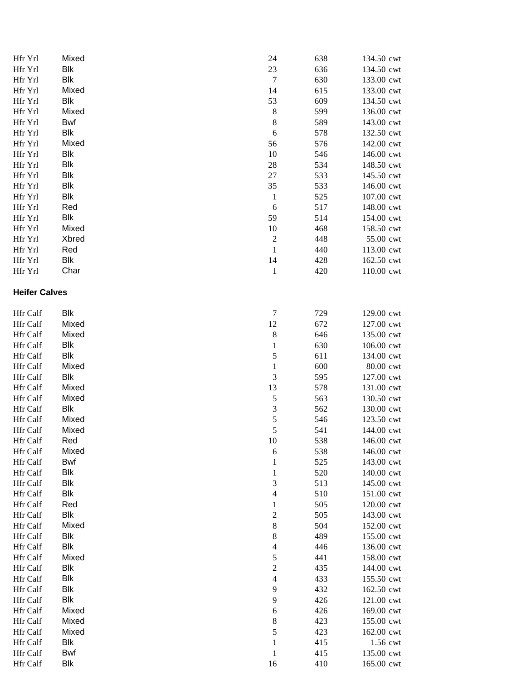| Hfr Yrl              | Mixed      | 24                      | 638 | 134.50 cwt |
|----------------------|------------|-------------------------|-----|------------|
| Hfr Yrl              | <b>Blk</b> | 23                      | 636 | 134.50 cwt |
| Hfr Yrl              | <b>Blk</b> | $\boldsymbol{7}$        | 630 | 133.00 cwt |
| Hfr Yrl              | Mixed      | 14                      | 615 | 133.00 cwt |
| Hfr Yrl              | <b>Blk</b> | 53                      | 609 | 134.50 cwt |
| Hfr Yrl              | Mixed      | $\,$ 8 $\,$             | 599 | 136.00 cwt |
| Hfr Yrl              | <b>Bwf</b> | $\,$ $\,$               | 589 | 143.00 cwt |
| Hfr Yrl              | <b>Blk</b> | 6                       | 578 | 132.50 cwt |
| Hfr Yrl              | Mixed      | 56                      | 576 | 142.00 cwt |
| Hfr Yrl              | <b>Blk</b> | 10                      | 546 | 146.00 cwt |
| Hfr Yrl              | <b>Blk</b> | 28                      | 534 | 148.50 cwt |
| Hfr Yrl              | <b>Blk</b> | 27                      | 533 | 145.50 cwt |
| Hfr Yrl              | <b>Blk</b> | 35                      | 533 | 146.00 cwt |
| Hfr Yrl              | <b>Blk</b> | $\mathbf{1}$            | 525 | 107.00 cwt |
| Hfr Yrl              | Red        | 6                       | 517 | 148.00 cwt |
| Hfr Yrl              | <b>Blk</b> | 59                      | 514 | 154.00 cwt |
| Hfr Yrl              | Mixed      | 10                      | 468 | 158.50 cwt |
| Hfr Yrl              | Xbred      | $\boldsymbol{2}$        | 448 | 55.00 cwt  |
| Hfr Yrl              | Red        | $\mathbf{1}$            | 440 | 113.00 cwt |
| Hfr Yrl              | <b>Blk</b> | 14                      | 428 | 162.50 cwt |
| Hfr Yrl              | Char       | $\mathbf{1}$            | 420 | 110.00 cwt |
|                      |            |                         |     |            |
| <b>Heifer Calves</b> |            |                         |     |            |
| Hfr Calf             | <b>Blk</b> | $\tau$                  | 729 | 129.00 cwt |
| Hfr Calf             | Mixed      | 12                      | 672 | 127.00 cwt |
| Hfr Calf             | Mixed      | $\,$ 8 $\,$             | 646 | 135.00 cwt |
| Hfr Calf             | <b>Blk</b> | $\mathbf{1}$            | 630 | 106.00 cwt |
| Hfr Calf             | <b>Blk</b> | 5                       | 611 | 134.00 cwt |
| Hfr Calf             | Mixed      | $\mathbf 1$             | 600 | 80.00 cwt  |
| Hfr Calf             | <b>Blk</b> | 3                       | 595 | 127.00 cwt |
| Hfr Calf             | Mixed      | 13                      | 578 | 131.00 cwt |
| Hfr Calf             | Mixed      | 5                       | 563 | 130.50 cwt |
| Hfr Calf             | <b>Blk</b> | $\mathfrak{Z}$          | 562 | 130.00 cwt |
| Hfr Calf             | Mixed      | 5                       | 546 | 123.50 cwt |
| Hfr Calf             | Mixed      | 5                       | 541 | 144.00 cwt |
| Hfr Calf             | Red        | 10                      | 538 | 146.00 cwt |
| Hfr Calf             | Mixed      | 6                       | 538 | 146.00 cwt |
| Hfr Calf             | Bwf        | $\mathbf{1}$            | 525 | 143.00 cwt |
| Hfr Calf             | <b>Blk</b> | $\mathbf{1}$            | 520 | 140.00 cwt |
| Hfr Calf             | <b>Blk</b> | 3                       | 513 | 145.00 cwt |
| Hfr Calf             | <b>Blk</b> | $\overline{4}$          | 510 | 151.00 cwt |
| Hfr Calf             | Red        | $\mathbf{1}$            | 505 | 120.00 cwt |
| Hfr Calf             | <b>Blk</b> | $\overline{\mathbf{c}}$ | 505 | 143.00 cwt |
| Hfr Calf             | Mixed      | 8                       | 504 | 152.00 cwt |
| Hfr Calf             | <b>Blk</b> | 8                       | 489 | 155.00 cwt |
| Hfr Calf             | <b>Blk</b> | $\overline{4}$          | 446 | 136.00 cwt |
| Hfr Calf             | Mixed      | 5                       | 441 | 158.00 cwt |
| Hfr Calf             | <b>Blk</b> | $\overline{\mathbf{c}}$ | 435 | 144.00 cwt |
| Hfr Calf             | <b>Blk</b> | $\overline{4}$          | 433 | 155.50 cwt |
| Hfr Calf             | <b>Blk</b> | 9                       | 432 | 162.50 cwt |
| Hfr Calf             | <b>Blk</b> | 9                       | 426 | 121.00 cwt |
| Hfr Calf             | Mixed      | 6                       | 426 | 169.00 cwt |
| Hfr Calf             | Mixed      | 8                       | 423 | 155.00 cwt |
| Hfr Calf             | Mixed      | 5                       | 423 | 162.00 cwt |
| Hfr Calf             | <b>Blk</b> | $\,1$                   | 415 | 1.56 cwt   |
| Hfr Calf             | Bwf        | $\mathbf{1}$            | 415 | 135.00 cwt |
| Hfr Calf             | <b>Blk</b> | 16                      | 410 | 165.00 cwt |
|                      |            |                         |     |            |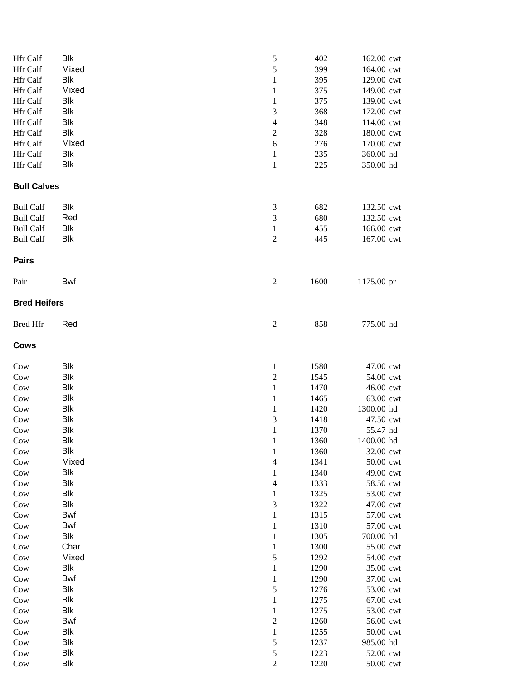| Hfr Calf            | Blk               | 5                           | 402          | 162.00 cwt             |
|---------------------|-------------------|-----------------------------|--------------|------------------------|
| Hfr Calf            | Mixed             | 5                           | 399          | 164.00 cwt             |
| Hfr Calf            | Blk               | $\mathbf{1}$                | 395          | 129.00 cwt             |
| Hfr Calf            | Mixed             | $\mathbf{1}$                | 375          | 149.00 cwt             |
| Hfr Calf            | Blk               | $\mathbf{1}$                | 375          | 139.00 cwt             |
| Hfr Calf            | <b>Blk</b>        | 3                           | 368          | 172.00 cwt             |
| Hfr Calf            | <b>Blk</b>        | $\overline{4}$              | 348          | 114.00 cwt             |
| Hfr Calf            | <b>Blk</b>        | $\overline{c}$              | 328          | 180.00 cwt             |
| Hfr Calf            | Mixed             | $\boldsymbol{6}$            | 276          | 170.00 cwt             |
| Hfr Calf            | <b>Blk</b>        | $\mathbf{1}$                | 235          | 360.00 hd              |
| Hfr Calf            | <b>Blk</b>        | $\mathbf{1}$                | 225          | 350.00 hd              |
| <b>Bull Calves</b>  |                   |                             |              |                        |
| <b>Bull Calf</b>    | Blk               | $\ensuremath{\mathfrak{Z}}$ | 682          | 132.50 cwt             |
| <b>Bull Calf</b>    | Red               | 3                           | 680          | 132.50 cwt             |
| <b>Bull Calf</b>    | Blk               | $\mathbf{1}$                | 455          | 166.00 cwt             |
| <b>Bull Calf</b>    | <b>Blk</b>        | $\sqrt{2}$                  | 445          | 167.00 cwt             |
| <b>Pairs</b>        |                   |                             |              |                        |
| Pair                | Bwf               | $\sqrt{2}$                  | 1600         | 1175.00 pr             |
| <b>Bred Heifers</b> |                   |                             |              |                        |
| <b>Bred Hfr</b>     | Red               | $\boldsymbol{2}$            | 858          | 775.00 hd              |
| Cows                |                   |                             |              |                        |
| Cow                 | Blk               | $\mathbf{1}$                | 1580         | 47.00 cwt              |
| Cow                 | <b>Blk</b>        | $\overline{c}$              | 1545         | 54.00 cwt              |
| Cow                 | <b>Blk</b>        | $\mathbf{1}$                | 1470         | 46.00 cwt              |
| Cow                 | <b>Blk</b>        | $\mathbf{1}$                | 1465         | 63.00 cwt              |
| Cow                 | Blk               | $\mathbf{1}$                | 1420         | 1300.00 hd             |
| Cow                 | <b>Blk</b>        | 3                           | 1418         | 47.50 cwt              |
| Cow                 | <b>Blk</b>        | $\mathbf{1}$                | 1370         | 55.47 hd               |
| $_{\text{Cow}}$     | Blk               | $\,1$                       | 1360         | 1400.00 hd             |
| Cow                 | Blk               | $\,1$                       | 1360         | 32.00 cwt              |
| Cow                 | Mixed             | $\overline{\mathcal{L}}$    | 1341         | 50.00 cwt              |
| Cow                 | <b>Blk</b>        | $\mathbf{1}$                | 1340         | 49.00 cwt              |
| Cow                 | <b>Blk</b>        | $\overline{\mathcal{L}}$    | 1333         | 58.50 cwt              |
| Cow                 | <b>Blk</b>        | $\mathbf{1}$                | 1325         | 53.00 cwt              |
| Cow                 | <b>Blk</b>        | $\mathfrak 3$               | 1322         | 47.00 cwt              |
| Cow                 | Bwf               | $\,1$                       | 1315         | 57.00 cwt              |
| Cow                 | Bwf               | $\mathbf{1}$                | 1310         | 57.00 cwt              |
| Cow                 | <b>Blk</b>        | $\mathbf{1}$                | 1305         | 700.00 hd              |
| Cow                 | Char              | $\mathbf{1}$                | 1300         | 55.00 cwt              |
| Cow                 | Mixed             | 5                           | 1292         | 54.00 cwt              |
| Cow                 | Blk               | $\mathbf{1}$                | 1290         | 35.00 cwt              |
| Cow                 | Bwf               | $\mathbf{1}$                | 1290         | 37.00 cwt              |
| Cow                 | Blk               | 5                           | 1276         | 53.00 cwt              |
| Cow                 | Blk               | $\mathbf{1}$                | 1275         | 67.00 cwt              |
| Cow                 | Blk               | $\mathbf{1}$                | 1275         | 53.00 cwt              |
| Cow                 | Bwf               | $\overline{c}$              | 1260         | 56.00 cwt              |
| Cow<br>Cow          | Blk<br><b>Blk</b> | $\,1$<br>5                  | 1255<br>1237 | 50.00 cwt<br>985.00 hd |
| Cow                 | <b>Blk</b>        | 5                           | 1223         | 52.00 cwt              |
| Cow                 | <b>Blk</b>        | $\sqrt{2}$                  | 1220         | 50.00 cwt              |
|                     |                   |                             |              |                        |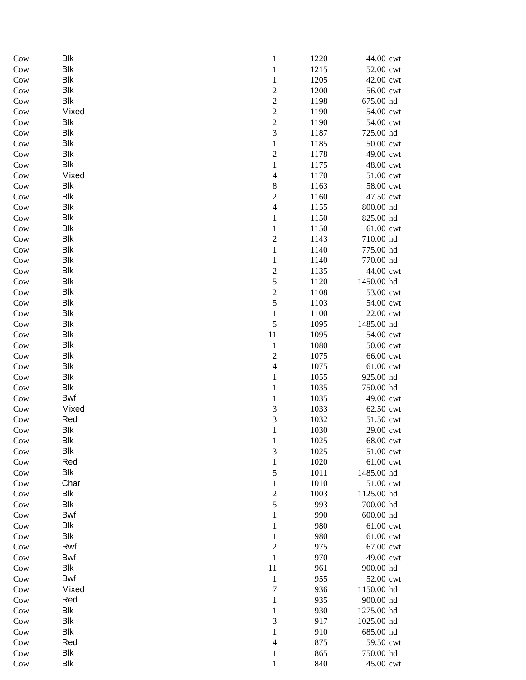| Cow        | <b>Blk</b>        | $\mathbf{1}$                 | 1220        | 44.00 cwt               |
|------------|-------------------|------------------------------|-------------|-------------------------|
| Cow        | <b>Blk</b>        | $\,1\,$                      | 1215        | 52.00 cwt               |
| Cow        | <b>Blk</b>        | $\,1$                        | 1205        | 42.00 cwt               |
| Cow        | <b>Blk</b>        | $\overline{c}$               | 1200        | 56.00 cwt               |
| Cow        | Blk               | $\overline{c}$               | 1198        | 675.00 hd               |
| Cow        | Mixed             | $\overline{c}$               | 1190        | 54.00 cwt               |
| Cow        | Blk               | $\overline{\mathbf{c}}$      | 1190        | 54.00 cwt               |
| Cow        | <b>Blk</b>        | 3                            | 1187        | 725.00 hd               |
| Cow        | <b>Blk</b>        | $\mathbf{1}$                 | 1185        | 50.00 cwt               |
| Cow        | <b>Blk</b>        | $\overline{\mathbf{c}}$      | 1178        | 49.00 cwt               |
| Cow        | Blk               | $\,1$                        | 1175        | 48.00 cwt               |
| Cow        | Mixed             | $\overline{\mathcal{L}}$     | 1170        | 51.00 cwt               |
| Cow        | Blk               | $\,$ $\,$                    | 1163        | 58.00 cwt               |
| Cow        | Blk               | $\overline{c}$               | 1160        | 47.50 cwt               |
| Cow        | <b>Blk</b>        | $\overline{4}$               | 1155        | 800.00 hd               |
| Cow        | <b>Blk</b>        | $\mathbf{1}$                 | 1150        | 825.00 hd               |
| Cow        | <b>Blk</b>        | $\,1$                        | 1150        | 61.00 cwt               |
| Cow        | <b>Blk</b>        | $\overline{c}$               | 1143        | 710.00 hd               |
| Cow        | <b>Blk</b>        | $\,1$                        | 1140        | 775.00 hd               |
| Cow        | <b>Blk</b>        | $\,1$                        | 1140        | 770.00 hd               |
| Cow        | <b>Blk</b>        | $\overline{\mathbf{c}}$      | 1135        | 44.00 cwt               |
| Cow        | Blk               | 5                            | 1120        | 1450.00 hd              |
| Cow        | <b>Blk</b>        | $\overline{\mathbf{c}}$      | 1108        | 53.00 cwt               |
| Cow        | Blk               | 5                            | 1103        | 54.00 cwt               |
| Cow        | <b>Blk</b>        | $\mathbf{1}$                 | 1100        | 22.00 cwt               |
| Cow        | Blk               | 5                            | 1095        | 1485.00 hd              |
| Cow        | <b>Blk</b>        | $11\,$                       | 1095        | 54.00 cwt               |
| Cow        | Blk               | $\,1$                        | 1080        | 50.00 cwt               |
| Cow        | Blk               | $\overline{\mathbf{c}}$      | 1075        | 66.00 cwt               |
| Cow        | Blk               | $\overline{4}$               | 1075        | 61.00 cwt               |
| Cow        | <b>Blk</b>        | $\,1$                        | 1055        | 925.00 hd               |
| Cow        | Blk               | $\,1$                        | 1035        | 750.00 hd               |
| Cow        | Bwf               | $\mathbf{1}$                 | 1035        | 49.00 cwt               |
| Cow        | Mixed             | 3                            | 1033        | 62.50 cwt               |
| Cow        | Red               | 3                            | 1032        | 51.50 cwt               |
| Cow        | Blk               | $\,1$                        | 1030        | 29.00 cwt               |
| Cow        | Blk               | $\mathbf{1}$                 | 1025        | 68.00 cwt               |
| Cow        | Blk               | 3                            | 1025        | 51.00 cwt               |
| Cow        | Red               | $\,1$                        | 1020        | 61.00 cwt               |
| Cow        | Blk               | 5                            | 1011        | 1485.00 hd<br>51.00 cwt |
| Cow        | Char              | $\mathbf{1}$                 | $1010\,$    |                         |
| Cow        | Blk<br><b>Blk</b> | $\overline{\mathbf{c}}$<br>5 | 1003<br>993 | 1125.00 hd<br>700.00 hd |
| Cow        | Bwf               | $\,1$                        | 990         | 600.00 hd               |
| Cow<br>Cow | Blk               | $\mathbf{1}$                 | 980         | 61.00 cwt               |
| Cow        | <b>Blk</b>        | $\mathbf{1}$                 | 980         | 61.00 cwt               |
| Cow        | Rwf               | $\overline{c}$               | 975         | 67.00 cwt               |
| Cow        | Bwf               | $\,1$                        | 970         | 49.00 cwt               |
| Cow        | <b>Blk</b>        | 11                           | 961         | 900.00 hd               |
| Cow        | Bwf               | $\,1$                        | 955         | 52.00 cwt               |
| Cow        | Mixed             | $\sqrt{ }$                   | 936         | 1150.00 hd              |
| Cow        | Red               | $\mathbf 1$                  | 935         | 900.00 hd               |
| Cow        | Blk               | $\mathbf{1}$                 | 930         | 1275.00 hd              |
| Cow        | Blk               | 3                            | 917         | 1025.00 hd              |
| Cow        | Blk               | $\mathbf{1}$                 | 910         | 685.00 hd               |
| Cow        | Red               | 4                            | 875         | 59.50 cwt               |
| Cow        | Blk               | $\mathbf{1}$                 | 865         | 750.00 hd               |
| Cow        | <b>Blk</b>        | $\mathbf{1}$                 | 840         | 45.00 cwt               |
|            |                   |                              |             |                         |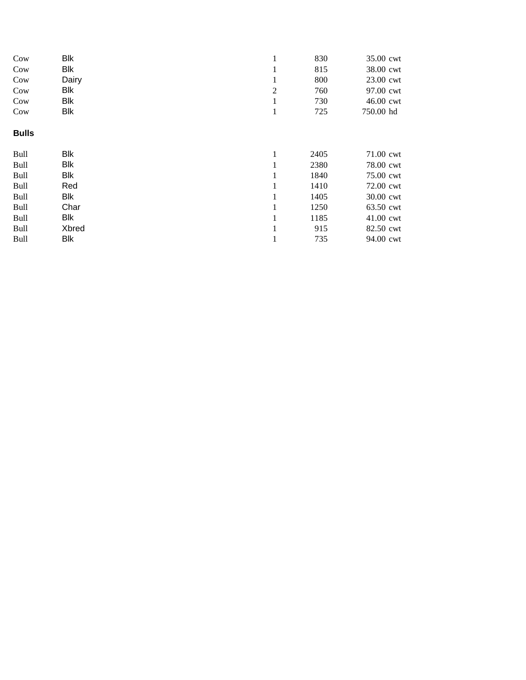| Cow          | <b>Blk</b> |                | 830  | 35.00 cwt |
|--------------|------------|----------------|------|-----------|
| Cow          | Blk        | T              | 815  | 38.00 cwt |
| Cow          | Dairy      | 1              | 800  | 23.00 cwt |
| Cow          | Blk        | $\overline{2}$ | 760  | 97.00 cwt |
| Cow          | <b>Blk</b> | 1              | 730  | 46.00 cwt |
| Cow          | Blk        | $\mathbf{1}$   | 725  | 750.00 hd |
| <b>Bulls</b> |            |                |      |           |
| <b>Bull</b>  | Blk        |                | 2405 | 71.00 cwt |
| Bull         | <b>Blk</b> |                | 2380 | 78.00 cwt |
| <b>Bull</b>  | Blk        | $\mathbf{1}$   | 1840 | 75.00 cwt |
| <b>Bull</b>  | Red        | 1              | 1410 | 72.00 cwt |
| <b>Bull</b>  | Blk        |                | 1405 | 30.00 cwt |
| <b>Bull</b>  | Char       |                | 1250 | 63.50 cwt |
| Bull         | Blk        | 1              | 1185 | 41.00 cwt |
| <b>Bull</b>  | Xbred      | 1              | 915  | 82.50 cwt |
| <b>Bull</b>  | Blk        | $\mathbf{1}$   | 735  | 94.00 cwt |
|              |            |                |      |           |